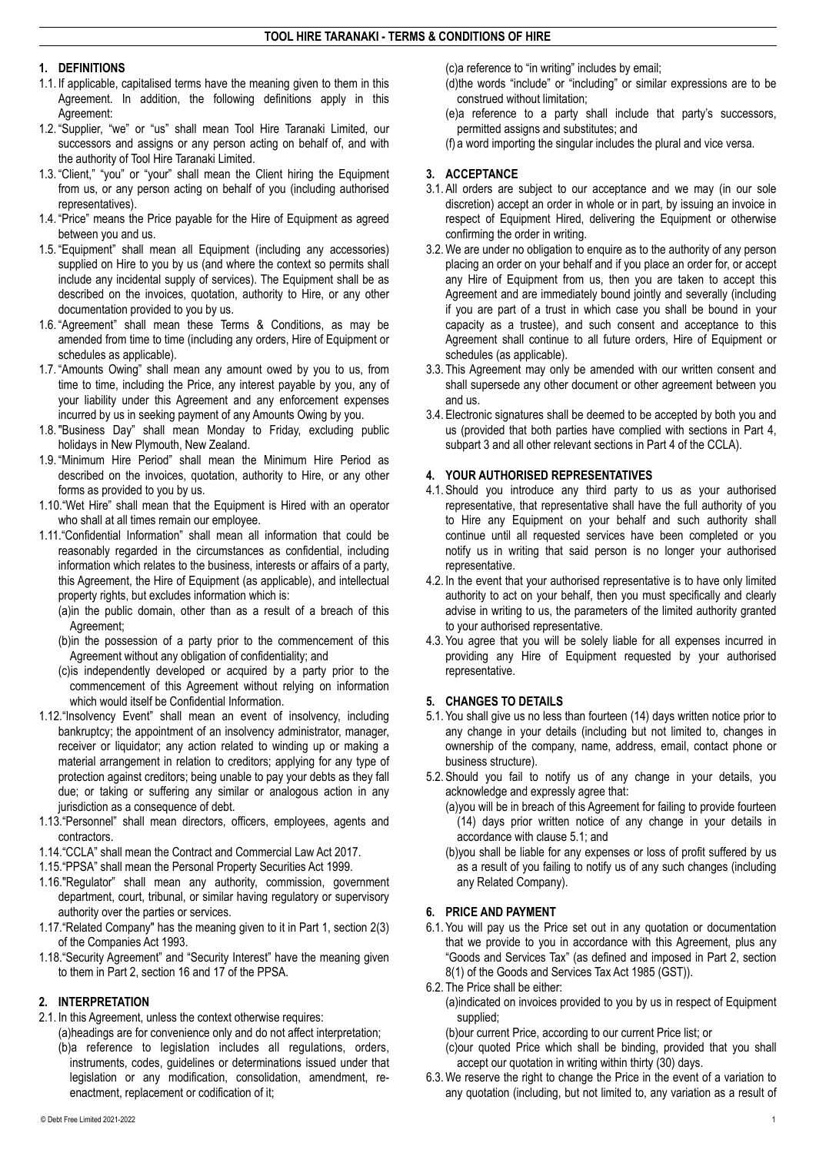#### **1. DEFINITIONS**

- 1.1. If applicable, capitalised terms have the meaning given to them in this Agreement. In addition, the following definitions apply in this Agreement:
- 1.2. "Supplier, "we" or "us" shall mean Tool Hire Taranaki Limited, our successors and assigns or any person acting on behalf of, and with the authority of Tool Hire Taranaki Limited.
- 1.3. "Client," "you" or "your" shall mean the Client hiring the Equipment from us, or any person acting on behalf of you (including authorised representatives).
- 1.4. "Price" means the Price payable for the Hire of Equipment as agreed between you and us.
- 1.5. "Equipment" shall mean all Equipment (including any accessories) supplied on Hire to you by us (and where the context so permits shall include any incidental supply of services). The Equipment shall be as described on the invoices, quotation, authority to Hire, or any other documentation provided to you by us.
- 1.6. "Agreement" shall mean these Terms & Conditions, as may be amended from time to time (including any orders, Hire of Equipment or schedules as applicable).
- 1.7. "Amounts Owing" shall mean any amount owed by you to us, from time to time, including the Price, any interest payable by you, any of your liability under this Agreement and any enforcement expenses incurred by us in seeking payment of any Amounts Owing by you.
- 1.8."Business Day" shall mean Monday to Friday, excluding public holidays in New Plymouth, New Zealand.
- 1.9. "Minimum Hire Period" shall mean the Minimum Hire Period as described on the invoices, quotation, authority to Hire, or any other forms as provided to you by us.
- 1.10."Wet Hire" shall mean that the Equipment is Hired with an operator who shall at all times remain our employee.
- 1.11."Confidential Information" shall mean all information that could be reasonably regarded in the circumstances as confidential, including information which relates to the business, interests or affairs of a party, this Agreement, the Hire of Equipment (as applicable), and intellectual property rights, but excludes information which is:

(a)in the public domain, other than as a result of a breach of this Agreement;

- (b)in the possession of a party prior to the commencement of this Agreement without any obligation of confidentiality; and
- (c)is independently developed or acquired by a party prior to the commencement of this Agreement without relying on information which would itself be Confidential Information.
- 1.12."Insolvency Event" shall mean an event of insolvency, including bankruptcy; the appointment of an insolvency administrator, manager, receiver or liquidator; any action related to winding up or making a material arrangement in relation to creditors; applying for any type of protection against creditors; being unable to pay your debts as they fall due; or taking or suffering any similar or analogous action in any jurisdiction as a consequence of debt.
- 1.13."Personnel" shall mean directors, officers, employees, agents and contractors.
- 1.14."CCLA" shall mean the Contract and Commercial Law Act 2017.
- 1.15."PPSA" shall mean the Personal Property Securities Act 1999.
- 1.16."Regulator" shall mean any authority, commission, government department, court, tribunal, or similar having regulatory or supervisory authority over the parties or services.
- 1.17."Related Company" has the meaning given to it in Part 1, section 2(3) of the Companies Act 1993.
- 1.18."Security Agreement" and "Security Interest" have the meaning given to them in Part 2, section 16 and 17 of the PPSA.

# **2. INTERPRETATION**

- 2.1. In this Agreement, unless the context otherwise requires:
	- (a)headings are for convenience only and do not affect interpretation; (b)a reference to legislation includes all regulations, orders, instruments, codes, guidelines or determinations issued under that legislation or any modification, consolidation, amendment, reenactment, replacement or codification of it;

(c)a reference to "in writing" includes by email;

- (d)the words "include" or "including" or similar expressions are to be construed without limitation;
- (e)a reference to a party shall include that party's successors, permitted assigns and substitutes; and
- (f) a word importing the singular includes the plural and vice versa.

# **3. ACCEPTANCE**

- 3.1. All orders are subject to our acceptance and we may (in our sole discretion) accept an order in whole or in part, by issuing an invoice in respect of Equipment Hired, delivering the Equipment or otherwise confirming the order in writing.
- 3.2.We are under no obligation to enquire as to the authority of any person placing an order on your behalf and if you place an order for, or accept any Hire of Equipment from us, then you are taken to accept this Agreement and are immediately bound jointly and severally (including if you are part of a trust in which case you shall be bound in your capacity as a trustee), and such consent and acceptance to this Agreement shall continue to all future orders, Hire of Equipment or schedules (as applicable).
- 3.3. This Agreement may only be amended with our written consent and shall supersede any other document or other agreement between you and us.
- 3.4. Electronic signatures shall be deemed to be accepted by both you and us (provided that both parties have complied with sections in Part 4, subpart 3 and all other relevant sections in Part 4 of the CCLA).

# **4. YOUR AUTHORISED REPRESENTATIVES**

- 4.1. Should you introduce any third party to us as your authorised representative, that representative shall have the full authority of you to Hire any Equipment on your behalf and such authority shall continue until all requested services have been completed or you notify us in writing that said person is no longer your authorised representative.
- 4.2. In the event that your authorised representative is to have only limited authority to act on your behalf, then you must specifically and clearly advise in writing to us, the parameters of the limited authority granted to your authorised representative.
- 4.3. You agree that you will be solely liable for all expenses incurred in providing any Hire of Equipment requested by your authorised representative.

# **5. CHANGES TO DETAILS**

- 5.1. You shall give us no less than fourteen (14) days written notice prior to any change in your details (including but not limited to, changes in ownership of the company, name, address, email, contact phone or business structure).
- 5.2. Should you fail to notify us of any change in your details, you acknowledge and expressly agree that:
	- (a)you will be in breach of this Agreement for failing to provide fourteen (14) days prior written notice of any change in your details in accordance with clause 5.1; and
	- (b)you shall be liable for any expenses or loss of profit suffered by us as a result of you failing to notify us of any such changes (including any Related Company).

# **6. PRICE AND PAYMENT**

- 6.1. You will pay us the Price set out in any quotation or documentation that we provide to you in accordance with this Agreement, plus any "Goods and Services Tax" (as defined and imposed in Part 2, section 8(1) of the Goods and Services Tax Act 1985 (GST)).
- 6.2. The Price shall be either:
	- (a)indicated on invoices provided to you by us in respect of Equipment supplied;
	- (b)our current Price, according to our current Price list; or
	- (c)our quoted Price which shall be binding, provided that you shall accept our quotation in writing within thirty (30) days.
- 6.3.We reserve the right to change the Price in the event of a variation to any quotation (including, but not limited to, any variation as a result of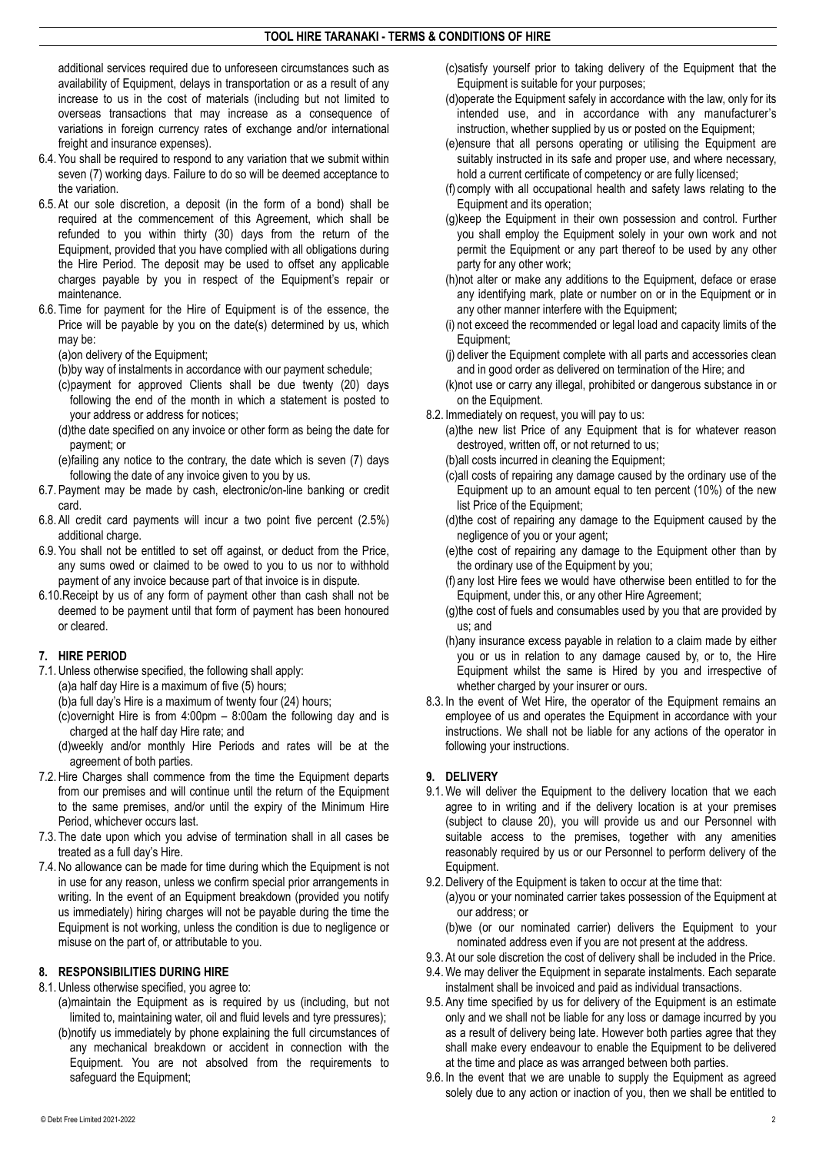additional services required due to unforeseen circumstances such as availability of Equipment, delays in transportation or as a result of any increase to us in the cost of materials (including but not limited to overseas transactions that may increase as a consequence of variations in foreign currency rates of exchange and/or international freight and insurance expenses).

- 6.4. You shall be required to respond to any variation that we submit within seven (7) working days. Failure to do so will be deemed acceptance to the variation.
- 6.5. At our sole discretion, a deposit (in the form of a bond) shall be required at the commencement of this Agreement, which shall be refunded to you within thirty (30) days from the return of the Equipment, provided that you have complied with all obligations during the Hire Period. The deposit may be used to offset any applicable charges payable by you in respect of the Equipment's repair or maintenance.
- 6.6. Time for payment for the Hire of Equipment is of the essence, the Price will be payable by you on the date(s) determined by us, which may be:

(a)on delivery of the Equipment;

(b)by way of instalments in accordance with our payment schedule;

- (c)payment for approved Clients shall be due twenty (20) days following the end of the month in which a statement is posted to your address or address for notices;
- (d)the date specified on any invoice or other form as being the date for payment; or
- (e)failing any notice to the contrary, the date which is seven (7) days following the date of any invoice given to you by us.
- 6.7. Payment may be made by cash, electronic/on-line banking or credit card.
- 6.8. All credit card payments will incur a two point five percent (2.5%) additional charge.
- 6.9. You shall not be entitled to set off against, or deduct from the Price, any sums owed or claimed to be owed to you to us nor to withhold payment of any invoice because part of that invoice is in dispute.
- 6.10.Receipt by us of any form of payment other than cash shall not be deemed to be payment until that form of payment has been honoured or cleared.

# **7. HIRE PERIOD**

- 7.1.Unless otherwise specified, the following shall apply:
	- (a)a half day Hire is a maximum of five (5) hours;
	- (b)a full day's Hire is a maximum of twenty four (24) hours;
	- (c)overnight Hire is from 4:00pm 8:00am the following day and is charged at the half day Hire rate; and
	- (d)weekly and/or monthly Hire Periods and rates will be at the agreement of both parties.
- 7.2.Hire Charges shall commence from the time the Equipment departs from our premises and will continue until the return of the Equipment to the same premises, and/or until the expiry of the Minimum Hire Period, whichever occurs last.
- 7.3. The date upon which you advise of termination shall in all cases be treated as a full day's Hire.
- 7.4.No allowance can be made for time during which the Equipment is not in use for any reason, unless we confirm special prior arrangements in writing. In the event of an Equipment breakdown (provided you notify us immediately) hiring charges will not be payable during the time the Equipment is not working, unless the condition is due to negligence or misuse on the part of, or attributable to you.

### **8. RESPONSIBILITIES DURING HIRE**

- 8.1.Unless otherwise specified, you agree to:
	- (a)maintain the Equipment as is required by us (including, but not limited to, maintaining water, oil and fluid levels and tyre pressures);
	- (b)notify us immediately by phone explaining the full circumstances of any mechanical breakdown or accident in connection with the Equipment. You are not absolved from the requirements to safeguard the Equipment;
- (c)satisfy yourself prior to taking delivery of the Equipment that the Equipment is suitable for your purposes;
- (d)operate the Equipment safely in accordance with the law, only for its intended use, and in accordance with any manufacturer's instruction, whether supplied by us or posted on the Equipment;
- (e)ensure that all persons operating or utilising the Equipment are suitably instructed in its safe and proper use, and where necessary, hold a current certificate of competency or are fully licensed;
- (f) comply with all occupational health and safety laws relating to the Equipment and its operation;
- (g)keep the Equipment in their own possession and control. Further you shall employ the Equipment solely in your own work and not permit the Equipment or any part thereof to be used by any other party for any other work;
- (h)not alter or make any additions to the Equipment, deface or erase any identifying mark, plate or number on or in the Equipment or in any other manner interfere with the Equipment;
- (i) not exceed the recommended or legal load and capacity limits of the Equipment;
- (j) deliver the Equipment complete with all parts and accessories clean and in good order as delivered on termination of the Hire; and
- (k)not use or carry any illegal, prohibited or dangerous substance in or on the Equipment.
- 8.2. Immediately on request, you will pay to us:
	- (a)the new list Price of any Equipment that is for whatever reason destroyed, written off, or not returned to us;
	- (b)all costs incurred in cleaning the Equipment;
	- (c)all costs of repairing any damage caused by the ordinary use of the Equipment up to an amount equal to ten percent (10%) of the new list Price of the Equipment;
	- (d)the cost of repairing any damage to the Equipment caused by the negligence of you or your agent;
	- (e)the cost of repairing any damage to the Equipment other than by the ordinary use of the Equipment by you;
	- (f) any lost Hire fees we would have otherwise been entitled to for the Equipment, under this, or any other Hire Agreement;
	- (g)the cost of fuels and consumables used by you that are provided by us; and
	- (h)any insurance excess payable in relation to a claim made by either you or us in relation to any damage caused by, or to, the Hire Equipment whilst the same is Hired by you and irrespective of whether charged by your insurer or ours.
- 8.3. In the event of Wet Hire, the operator of the Equipment remains an employee of us and operates the Equipment in accordance with your instructions. We shall not be liable for any actions of the operator in following your instructions.

# **9. DELIVERY**

- 9.1.We will deliver the Equipment to the delivery location that we each agree to in writing and if the delivery location is at your premises (subject to clause 20), you will provide us and our Personnel with suitable access to the premises, together with any amenities reasonably required by us or our Personnel to perform delivery of the Equipment.
- 9.2.Delivery of the Equipment is taken to occur at the time that:
	- (a)you or your nominated carrier takes possession of the Equipment at our address; or
	- (b)we (or our nominated carrier) delivers the Equipment to your nominated address even if you are not present at the address.
- 9.3. At our sole discretion the cost of delivery shall be included in the Price.
- 9.4.We may deliver the Equipment in separate instalments. Each separate instalment shall be invoiced and paid as individual transactions.
- 9.5. Any time specified by us for delivery of the Equipment is an estimate only and we shall not be liable for any loss or damage incurred by you as a result of delivery being late. However both parties agree that they shall make every endeavour to enable the Equipment to be delivered at the time and place as was arranged between both parties.
- 9.6. In the event that we are unable to supply the Equipment as agreed solely due to any action or inaction of you, then we shall be entitled to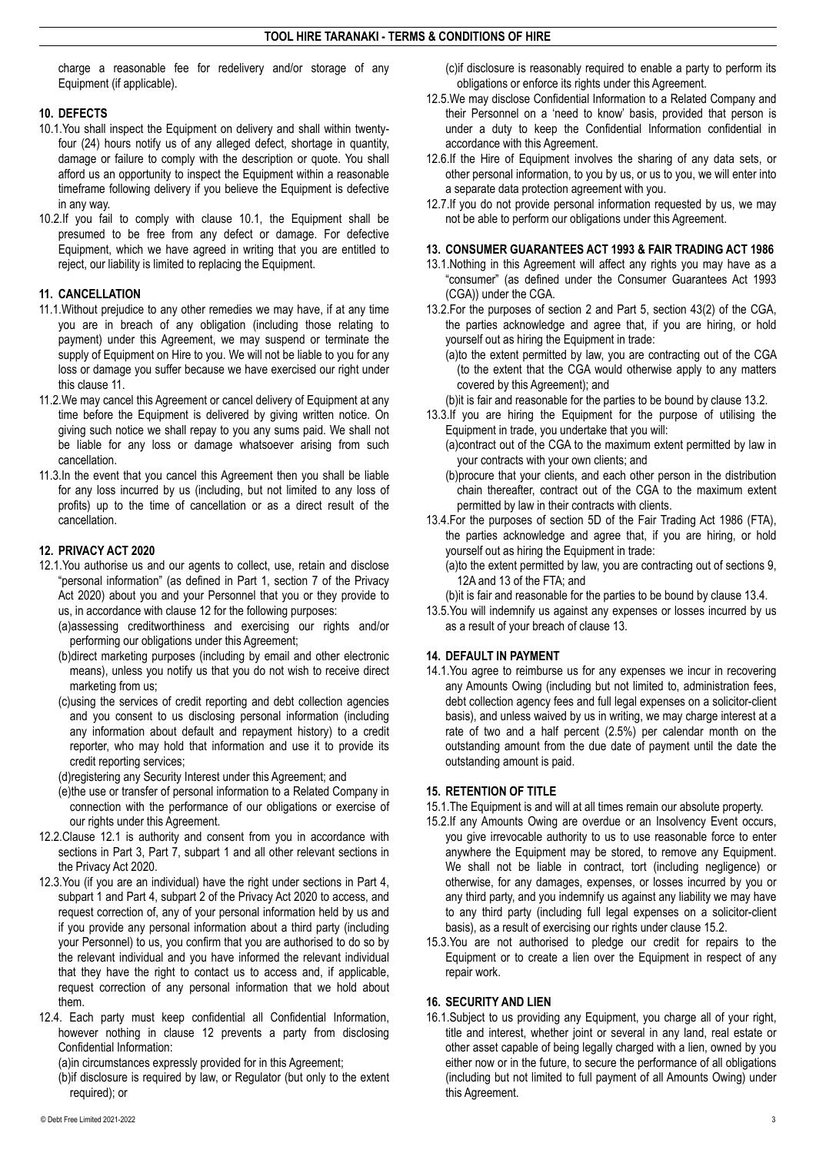charge a reasonable fee for redelivery and/or storage of any Equipment (if applicable).

# **10. DEFECTS**

- 10.1.You shall inspect the Equipment on delivery and shall within twentyfour (24) hours notify us of any alleged defect, shortage in quantity, damage or failure to comply with the description or quote. You shall afford us an opportunity to inspect the Equipment within a reasonable timeframe following delivery if you believe the Equipment is defective in any way.
- 10.2.If you fail to comply with clause 10.1, the Equipment shall be presumed to be free from any defect or damage. For defective Equipment, which we have agreed in writing that you are entitled to reject, our liability is limited to replacing the Equipment.

# **11. CANCELLATION**

- 11.1.Without prejudice to any other remedies we may have, if at any time you are in breach of any obligation (including those relating to payment) under this Agreement, we may suspend or terminate the supply of Equipment on Hire to you. We will not be liable to you for any loss or damage you suffer because we have exercised our right under this clause 11.
- 11.2.We may cancel this Agreement or cancel delivery of Equipment at any time before the Equipment is delivered by giving written notice. On giving such notice we shall repay to you any sums paid. We shall not be liable for any loss or damage whatsoever arising from such cancellation.
- 11.3.In the event that you cancel this Agreement then you shall be liable for any loss incurred by us (including, but not limited to any loss of profits) up to the time of cancellation or as a direct result of the cancellation.

### **12. PRIVACY ACT 2020**

- 12.1.You authorise us and our agents to collect, use, retain and disclose "personal information" (as defined in Part 1, section 7 of the Privacy Act 2020) about you and your Personnel that you or they provide to us, in accordance with clause 12 for the following purposes:
	- (a)assessing creditworthiness and exercising our rights and/or performing our obligations under this Agreement;
	- (b)direct marketing purposes (including by email and other electronic means), unless you notify us that you do not wish to receive direct marketing from us;
	- (c)using the services of credit reporting and debt collection agencies and you consent to us disclosing personal information (including any information about default and repayment history) to a credit reporter, who may hold that information and use it to provide its credit reporting services;

(d)registering any Security Interest under this Agreement; and

- (e)the use or transfer of personal information to a Related Company in connection with the performance of our obligations or exercise of our rights under this Agreement.
- 12.2.Clause 12.1 is authority and consent from you in accordance with sections in Part 3, Part 7, subpart 1 and all other relevant sections in the Privacy Act 2020.
- 12.3.You (if you are an individual) have the right under sections in Part 4, subpart 1 and Part 4, subpart 2 of the Privacy Act 2020 to access, and request correction of, any of your personal information held by us and if you provide any personal information about a third party (including your Personnel) to us, you confirm that you are authorised to do so by the relevant individual and you have informed the relevant individual that they have the right to contact us to access and, if applicable, request correction of any personal information that we hold about them.
- 12.4. Each party must keep confidential all Confidential Information, however nothing in clause 12 prevents a party from disclosing Confidential Information:

(a)in circumstances expressly provided for in this Agreement;

(b)if disclosure is required by law, or Regulator (but only to the extent required); or

(c)if disclosure is reasonably required to enable a party to perform its obligations or enforce its rights under this Agreement.

- 12.5.We may disclose Confidential Information to a Related Company and their Personnel on a 'need to know' basis, provided that person is under a duty to keep the Confidential Information confidential in accordance with this Agreement.
- 12.6.If the Hire of Equipment involves the sharing of any data sets, or other personal information, to you by us, or us to you, we will enter into a separate data protection agreement with you.
- 12.7.If you do not provide personal information requested by us, we may not be able to perform our obligations under this Agreement.

### **13. CONSUMER GUARANTEES ACT 1993 & FAIR TRADING ACT 1986**

- 13.1.Nothing in this Agreement will affect any rights you may have as a "consumer" (as defined under the Consumer Guarantees Act 1993 (CGA)) under the CGA.
- 13.2.For the purposes of section 2 and Part 5, section 43(2) of the CGA, the parties acknowledge and agree that, if you are hiring, or hold yourself out as hiring the Equipment in trade:
	- (a)to the extent permitted by law, you are contracting out of the CGA (to the extent that the CGA would otherwise apply to any matters covered by this Agreement); and
	- (b)it is fair and reasonable for the parties to be bound by clause 13.2.
- 13.3.If you are hiring the Equipment for the purpose of utilising the Equipment in trade, you undertake that you will:
	- (a)contract out of the CGA to the maximum extent permitted by law in your contracts with your own clients; and
	- (b)procure that your clients, and each other person in the distribution chain thereafter, contract out of the CGA to the maximum extent permitted by law in their contracts with clients.
- 13.4.For the purposes of section 5D of the Fair Trading Act 1986 (FTA), the parties acknowledge and agree that, if you are hiring, or hold yourself out as hiring the Equipment in trade:
	- (a)to the extent permitted by law, you are contracting out of sections 9, 12A and 13 of the FTA; and
	- (b)it is fair and reasonable for the parties to be bound by clause 13.4.
- 13.5.You will indemnify us against any expenses or losses incurred by us as a result of your breach of clause 13.

# **14. DEFAULT IN PAYMENT**

14.1.You agree to reimburse us for any expenses we incur in recovering any Amounts Owing (including but not limited to, administration fees, debt collection agency fees and full legal expenses on a solicitor-client basis), and unless waived by us in writing, we may charge interest at a rate of two and a half percent (2.5%) per calendar month on the outstanding amount from the due date of payment until the date the outstanding amount is paid.

### **15. RETENTION OF TITLE**

- 15.1.The Equipment is and will at all times remain our absolute property.
- 15.2.If any Amounts Owing are overdue or an Insolvency Event occurs, you give irrevocable authority to us to use reasonable force to enter anywhere the Equipment may be stored, to remove any Equipment. We shall not be liable in contract, tort (including negligence) or otherwise, for any damages, expenses, or losses incurred by you or any third party, and you indemnify us against any liability we may have to any third party (including full legal expenses on a solicitor-client basis), as a result of exercising our rights under clause 15.2.
- 15.3.You are not authorised to pledge our credit for repairs to the Equipment or to create a lien over the Equipment in respect of any repair work.

# **16. SECURITY AND LIEN**

16.1.Subject to us providing any Equipment, you charge all of your right, title and interest, whether joint or several in any land, real estate or other asset capable of being legally charged with a lien, owned by you either now or in the future, to secure the performance of all obligations (including but not limited to full payment of all Amounts Owing) under this Agreement.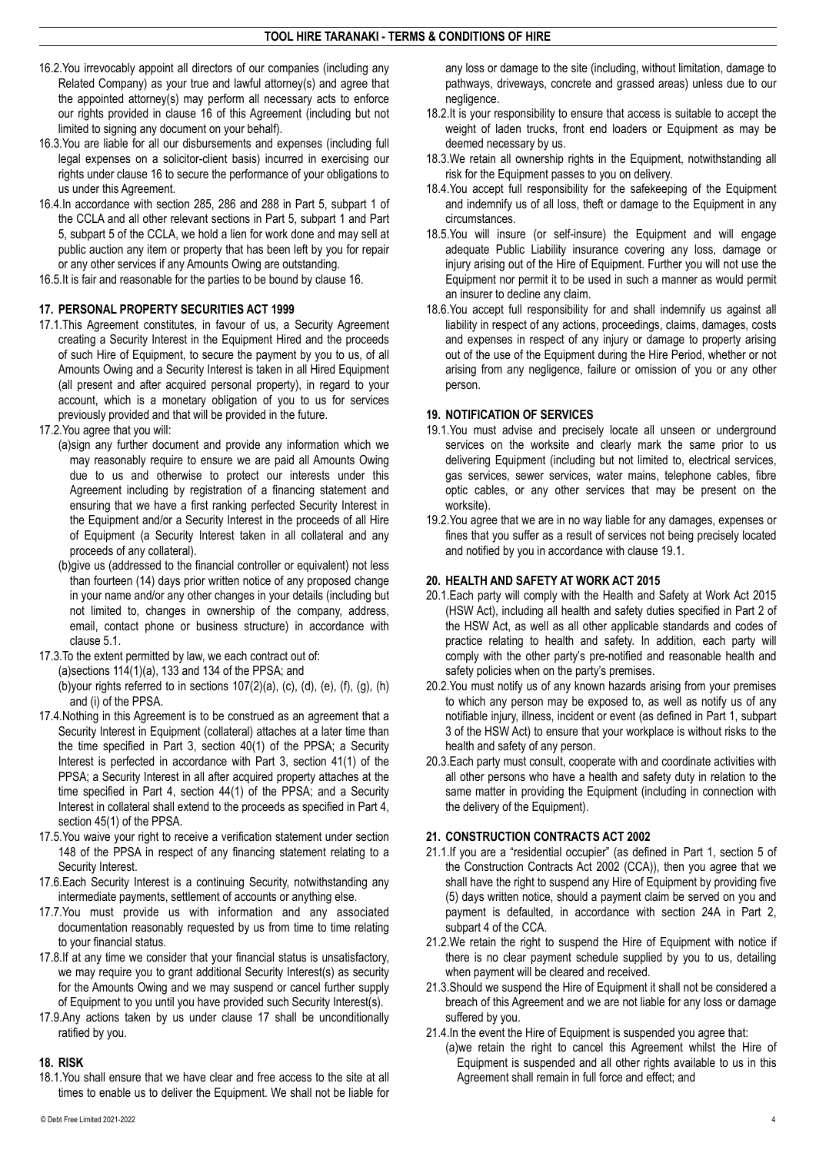- 16.2.You irrevocably appoint all directors of our companies (including any Related Company) as your true and lawful attorney(s) and agree that the appointed attorney(s) may perform all necessary acts to enforce our rights provided in clause 16 of this Agreement (including but not limited to signing any document on your behalf).
- 16.3.You are liable for all our disbursements and expenses (including full legal expenses on a solicitor-client basis) incurred in exercising our rights under clause 16 to secure the performance of your obligations to us under this Agreement.
- 16.4.In accordance with section 285, 286 and 288 in Part 5, subpart 1 of the CCLA and all other relevant sections in Part 5, subpart 1 and Part 5, subpart 5 of the CCLA, we hold a lien for work done and may sell at public auction any item or property that has been left by you for repair or any other services if any Amounts Owing are outstanding.
- 16.5.It is fair and reasonable for the parties to be bound by clause 16.

#### **17. PERSONAL PROPERTY SECURITIES ACT 1999**

- 17.1.This Agreement constitutes, in favour of us, a Security Agreement creating a Security Interest in the Equipment Hired and the proceeds of such Hire of Equipment, to secure the payment by you to us, of all Amounts Owing and a Security Interest is taken in all Hired Equipment (all present and after acquired personal property), in regard to your account, which is a monetary obligation of you to us for services previously provided and that will be provided in the future.
- 17.2.You agree that you will:
	- (a)sign any further document and provide any information which we may reasonably require to ensure we are paid all Amounts Owing due to us and otherwise to protect our interests under this Agreement including by registration of a financing statement and ensuring that we have a first ranking perfected Security Interest in the Equipment and/or a Security Interest in the proceeds of all Hire of Equipment (a Security Interest taken in all collateral and any proceeds of any collateral).
	- (b)give us (addressed to the financial controller or equivalent) not less than fourteen (14) days prior written notice of any proposed change in your name and/or any other changes in your details (including but not limited to, changes in ownership of the company, address, email, contact phone or business structure) in accordance with clause 5.1.
- 17.3.To the extent permitted by law, we each contract out of: (a)sections  $114(1)(a)$ , 133 and 134 of the PPSA; and (b)your rights referred to in sections  $107(2)(a)$ , (c), (d), (e), (f), (g), (h) and (i) of the PPSA.
- 17.4.Nothing in this Agreement is to be construed as an agreement that a Security Interest in Equipment (collateral) attaches at a later time than the time specified in Part 3, section 40(1) of the PPSA; a Security Interest is perfected in accordance with Part 3, section 41(1) of the PPSA; a Security Interest in all after acquired property attaches at the time specified in Part 4, section 44(1) of the PPSA; and a Security Interest in collateral shall extend to the proceeds as specified in Part 4, section 45(1) of the PPSA.
- 17.5.You waive your right to receive a verification statement under section 148 of the PPSA in respect of any financing statement relating to a Security Interest.
- 17.6.Each Security Interest is a continuing Security, notwithstanding any intermediate payments, settlement of accounts or anything else.
- 17.7.You must provide us with information and any associated documentation reasonably requested by us from time to time relating to your financial status.
- 17.8.If at any time we consider that your financial status is unsatisfactory, we may require you to grant additional Security Interest(s) as security for the Amounts Owing and we may suspend or cancel further supply of Equipment to you until you have provided such Security Interest(s).
- 17.9.Any actions taken by us under clause 17 shall be unconditionally ratified by you.

# **18. RISK**

18.1.You shall ensure that we have clear and free access to the site at all times to enable us to deliver the Equipment. We shall not be liable for

any loss or damage to the site (including, without limitation, damage to pathways, driveways, concrete and grassed areas) unless due to our negligence.

- 18.2.It is your responsibility to ensure that access is suitable to accept the weight of laden trucks, front end loaders or Equipment as may be deemed necessary by us.
- 18.3.We retain all ownership rights in the Equipment, notwithstanding all risk for the Equipment passes to you on delivery.
- 18.4.You accept full responsibility for the safekeeping of the Equipment and indemnify us of all loss, theft or damage to the Equipment in any circumstances.
- 18.5.You will insure (or self-insure) the Equipment and will engage adequate Public Liability insurance covering any loss, damage or injury arising out of the Hire of Equipment. Further you will not use the Equipment nor permit it to be used in such a manner as would permit an insurer to decline any claim.
- 18.6.You accept full responsibility for and shall indemnify us against all liability in respect of any actions, proceedings, claims, damages, costs and expenses in respect of any injury or damage to property arising out of the use of the Equipment during the Hire Period, whether or not arising from any negligence, failure or omission of you or any other person.

#### **19. NOTIFICATION OF SERVICES**

- 19.1.You must advise and precisely locate all unseen or underground services on the worksite and clearly mark the same prior to us delivering Equipment (including but not limited to, electrical services, gas services, sewer services, water mains, telephone cables, fibre optic cables, or any other services that may be present on the worksite).
- 19.2.You agree that we are in no way liable for any damages, expenses or fines that you suffer as a result of services not being precisely located and notified by you in accordance with clause 19.1.

### **20. HEALTH AND SAFETY AT WORK ACT 2015**

- 20.1.Each party will comply with the Health and Safety at Work Act 2015 (HSW Act), including all health and safety duties specified in Part 2 of the HSW Act, as well as all other applicable standards and codes of practice relating to health and safety. In addition, each party will comply with the other party's pre-notified and reasonable health and safety policies when on the party's premises.
- 20.2.You must notify us of any known hazards arising from your premises to which any person may be exposed to, as well as notify us of any notifiable injury, illness, incident or event (as defined in Part 1, subpart 3 of the HSW Act) to ensure that your workplace is without risks to the health and safety of any person.
- 20.3.Each party must consult, cooperate with and coordinate activities with all other persons who have a health and safety duty in relation to the same matter in providing the Equipment (including in connection with the delivery of the Equipment).

# **21. CONSTRUCTION CONTRACTS ACT 2002**

- 21.1.If you are a "residential occupier" (as defined in Part 1, section 5 of the Construction Contracts Act 2002 (CCA)), then you agree that we shall have the right to suspend any Hire of Equipment by providing five (5) days written notice, should a payment claim be served on you and payment is defaulted, in accordance with section 24A in Part 2, subpart 4 of the CCA.
- 21.2.We retain the right to suspend the Hire of Equipment with notice if there is no clear payment schedule supplied by you to us, detailing when payment will be cleared and received.
- 21.3.Should we suspend the Hire of Equipment it shall not be considered a breach of this Agreement and we are not liable for any loss or damage suffered by you.
- 21.4.In the event the Hire of Equipment is suspended you agree that:
- (a)we retain the right to cancel this Agreement whilst the Hire of Equipment is suspended and all other rights available to us in this Agreement shall remain in full force and effect; and